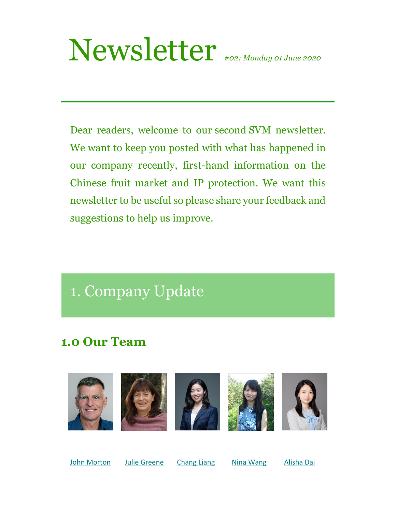# Newsletter *#02: Monday 01 June <sup>2020</sup>*

Dear readers, welcome to our second SVM newsletter. We want to keep you posted with what has happened in our company recently, first-hand information on the Chinese fruit market and IP protection. We want this newsletter to be useful so please share your feedback and suggestions to help us improve.

## 1. Company Update

### **1.0 Our Team**



[John Morton](mailto:john@johnmortonltd.co.nz) [Julie Greene](mailto:julie@freshnz.co.nz) [Chang Liang](mailto:chang@shennong.co.nz) [Nina Wang](mailto:nina@shennong.co.nz)[Alisha Dai](mailto:alisha@shennong.co.nz)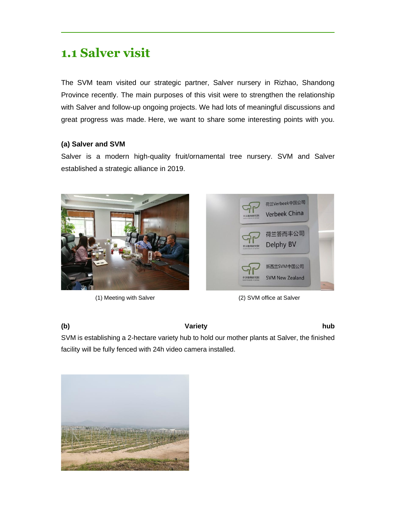### **1.1 Salver visit**

The SVM team visited our strategic partner, Salver nursery in Rizhao, Shandong Province recently. The main purposes of this visit were to strengthen the relationship with Salver and follow-up ongoing projects. We had lots of meaningful discussions and great progress was made. Here, we want to share some interesting points with you.

### **(a) Salver and SVM**

Salver is a modern high-quality fruit/ornamental tree nursery. SVM and Salver established a strategic alliance in 2019.





(1) Meeting with Salver (2) SVM office at Salver

### **(b) Variety hub**

SVM is establishing a 2-hectare variety hub to hold our mother plants at Salver, the finished facility will be fully fenced with 24h video camera installed.

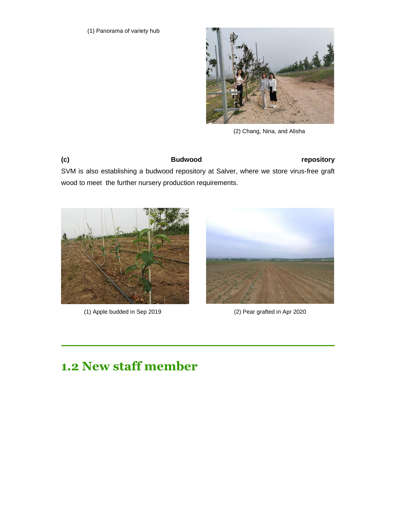

(2) Chang, Nina, and Alisha

**(c) Budwood repository**

SVM is also establishing a budwood repository at Salver, where we store virus-free graft wood to meet the further nursery production requirements.



(1) Apple budded in Sep 2019 (2) Pear grafted in Apr 2020



### **1.2 New staff member**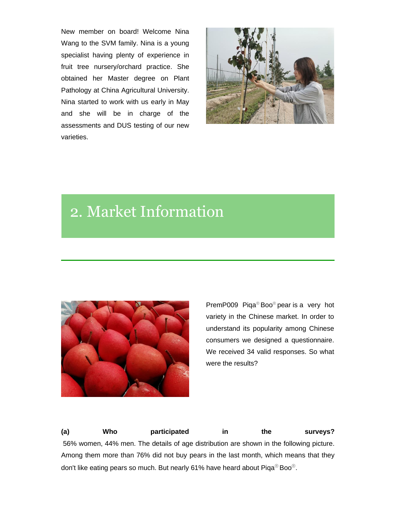New member on board! Welcome Nina Wang to the SVM family. Nina is a young specialist having plenty of experience in fruit tree nursery/orchard practice. She obtained her Master degree on Plant Pathology at China Agricultural University. Nina started to work with us early in May and she will be in charge of the assessments and DUS testing of our new varieties.



## 2. Market Information



PremP009 Piqa® Boo® pear is a very hot variety in the Chinese market. In order to understand its popularity among Chinese consumers we designed a questionnaire. We received 34 valid responses. So what were the results?

**(a) Who participated in the surveys?** 56% women, 44% men. The details of age distribution are shown in the following picture. Among them more than 76% did not buy pears in the last month, which means that they don't like eating pears so much. But nearly 61% have heard about Piqa® Boo®.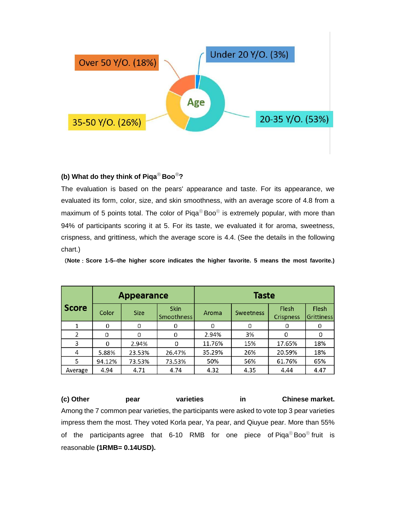

### **(b) What do they think of Piqa® Boo®?**

The evaluation is based on the pears' appearance and taste. For its appearance, we evaluated its form, color, size, and skin smoothness, with an average score of 4.8 from a maximum of 5 points total. The color of Piqa<sup>®</sup> Boo<sup>®</sup> is extremely popular, with more than 94% of participants scoring it at 5. For its taste, we evaluated it for aroma, sweetness, crispness, and grittiness, which the average score is 4.4. (See the details in the following chart.)

(**Note**:**Score 1-5--the higher score indicates the higher favorite. 5 means the most favorite.)**

|              | <b>Appearance</b> |             |                                  | <b>Taste</b> |                  |                           |                     |
|--------------|-------------------|-------------|----------------------------------|--------------|------------------|---------------------------|---------------------|
| <b>Score</b> | Color             | <b>Size</b> | <b>Skin</b><br><b>Smoothness</b> | Aroma        | <b>Sweetness</b> | Flesh<br><b>Crispness</b> | Flesh<br>Grittiness |
| 1            | 0                 |             |                                  |              | 0                |                           | 0                   |
| 2            | 0                 |             |                                  | 2.94%        | 3%               |                           |                     |
| 3            | 0                 | 2.94%       |                                  | 11.76%       | 15%              | 17.65%                    | 18%                 |
| 4            | 5.88%             | 23.53%      | 26.47%                           | 35.29%       | 26%              | 20.59%                    | 18%                 |
| 5            | 94.12%            | 73.53%      | 73.53%                           | 50%          | 56%              | 61.76%                    | 65%                 |
| Average      | 4.94              | 4.71        | 4.74                             | 4.32         | 4.35             | 4.44                      | 4.47                |

**(c) Other pear varieties in Chinese market.** Among the 7 common pear varieties, the participants were asked to vote top 3 pear varieties impress them the most. They voted Korla pear, Ya pear, and Qiuyue pear. More than 55% of the participants agree that 6-10 RMB for one piece of Piqa® Boo® fruit is reasonable **(1RMB= 0.14USD).**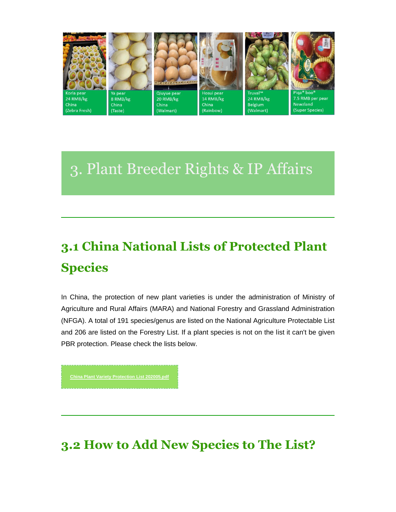

# 3. Plant Breeder Rights & IP Affairs

# **3.1 China National Lists of Protected Plant Species**

In China, the protection of new plant varieties is under the administration of Ministry of Agriculture and Rural Affairs (MARA) and National Forestry and Grassland Administration (NFGA). A total of 191 species/genus are listed on the National Agriculture Protectable List and 206 are listed on the Forestry List. If a plant species is not on the list it can't be given PBR protection. Please check the lists below.

**3.2 How to Add New Species to The List?**